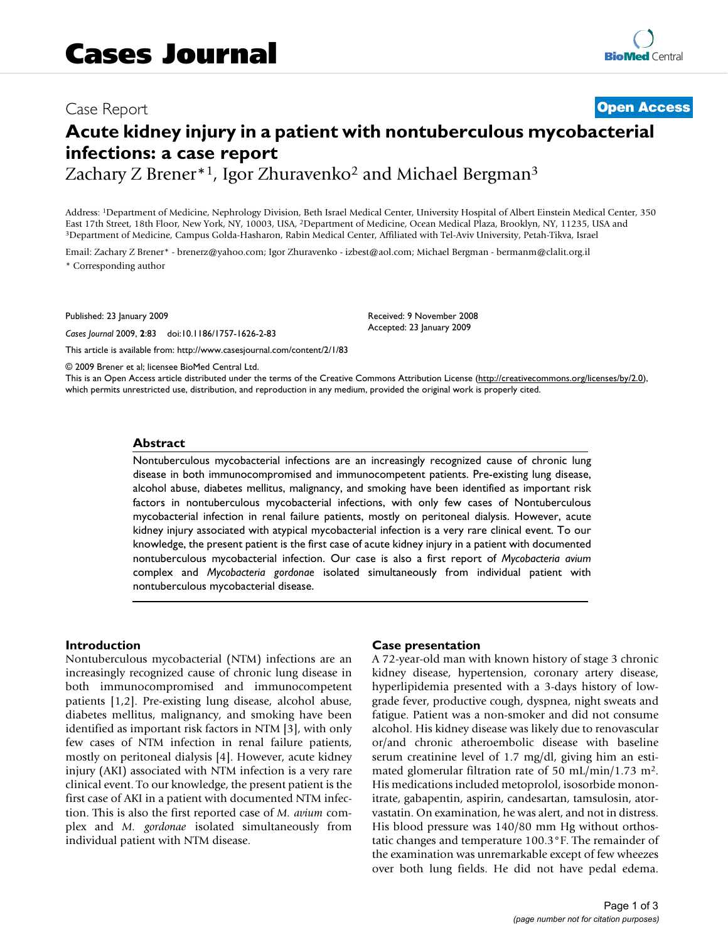## Case Report **[Open Access](http://www.biomedcentral.com/info/about/charter/)**

# **Acute kidney injury in a patient with nontuberculous mycobacterial infections: a case report**

Zachary Z Brener\*<sup>1</sup>, Igor Zhuravenko<sup>2</sup> and Michael Bergman<sup>3</sup>

Address: <sup>1</sup>Department of Medicine, Nephrology Division, Beth Israel Medical Center, University Hospital of Albert Einstein Medical Center, 350 East 17th Street, 18th Floor, New York, NY, 10003, USA, <sup>2</sup>Department of Medic <sup>3</sup>Department of Medicine, Campus Golda-Hasharon, Rabin Medical Center, Affiliated with Tel-Aviv University, Petah-Tikva, Israel

Email: Zachary Z Brener\* - brenerz@yahoo.com; Igor Zhuravenko - izbest@aol.com; Michael Bergman - bermanm@clalit.org.il \* Corresponding author

Published: 23 January 2009

*Cases Journal* 2009, **2**:83 doi:10.1186/1757-1626-2-83

[This article is available from: http://www.casesjournal.com/content/2/1/83](http://www.casesjournal.com/content/2/1/83)

© 2009 Brener et al; licensee BioMed Central Ltd.

This is an Open Access article distributed under the terms of the Creative Commons Attribution License [\(http://creativecommons.org/licenses/by/2.0\)](http://creativecommons.org/licenses/by/2.0), which permits unrestricted use, distribution, and reproduction in any medium, provided the original work is properly cited.

#### **Abstract**

Nontuberculous mycobacterial infections are an increasingly recognized cause of chronic lung disease in both immunocompromised and immunocompetent patients. Pre-existing lung disease, alcohol abuse, diabetes mellitus, malignancy, and smoking have been identified as important risk factors in nontuberculous mycobacterial infections, with only few cases of Nontuberculous mycobacterial infection in renal failure patients, mostly on peritoneal dialysis. However, acute kidney injury associated with atypical mycobacterial infection is a very rare clinical event. To our knowledge, the present patient is the first case of acute kidney injury in a patient with documented nontuberculous mycobacterial infection. Our case is also a first report of *Mycobacteria avium* complex and *Mycobacteria gordonae* isolated simultaneously from individual patient with nontuberculous mycobacterial disease.

#### **Introduction**

Nontuberculous mycobacterial (NTM) infections are an increasingly recognized cause of chronic lung disease in both immunocompromised and immunocompetent patients [1,2]. Pre-existing lung disease, alcohol abuse, diabetes mellitus, malignancy, and smoking have been identified as important risk factors in NTM [3], with only few cases of NTM infection in renal failure patients, mostly on peritoneal dialysis [4]. However, acute kidney injury (AKI) associated with NTM infection is a very rare clinical event. To our knowledge, the present patient is the first case of AKI in a patient with documented NTM infection. This is also the first reported case of *M. avium* complex and *M. gordonae* isolated simultaneously from individual patient with NTM disease.

#### **Case presentation**

Received: 9 November 2008 Accepted: 23 January 2009

A 72-year-old man with known history of stage 3 chronic kidney disease, hypertension, coronary artery disease, hyperlipidemia presented with a 3-days history of lowgrade fever, productive cough, dyspnea, night sweats and fatigue. Patient was a non-smoker and did not consume alcohol. His kidney disease was likely due to renovascular or/and chronic atheroembolic disease with baseline serum creatinine level of 1.7 mg/dl, giving him an estimated glomerular filtration rate of 50 mL/min/1.73 m<sup>2</sup>. His medications included metoprolol, isosorbide mononitrate, gabapentin, aspirin, candesartan, tamsulosin, atorvastatin. On examination, he was alert, and not in distress. His blood pressure was 140/80 mm Hg without orthostatic changes and temperature 100.3°F. The remainder of the examination was unremarkable except of few wheezes over both lung fields. He did not have pedal edema.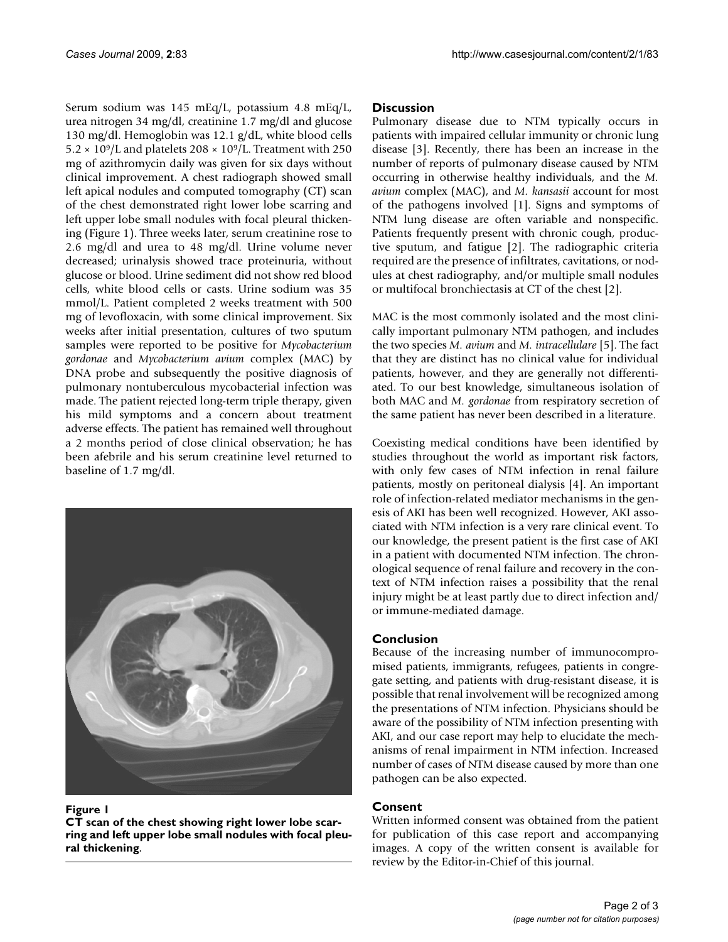Serum sodium was 145 mEq/L, potassium 4.8 mEq/L, urea nitrogen 34 mg/dl, creatinine 1.7 mg/dl and glucose 130 mg/dl. Hemoglobin was 12.1 g/dL, white blood cells  $5.2 \times 10^9$ /L and platelets  $208 \times 10^9$ /L. Treatment with 250 mg of azithromycin daily was given for six days without clinical improvement. A chest radiograph showed small left apical nodules and computed tomography (CT) scan of the chest demonstrated right lower lobe scarring and left upper lobe small nodules with focal pleural thickening (Figure 1). Three weeks later, serum creatinine rose to 2.6 mg/dl and urea to 48 mg/dl. Urine volume never decreased; urinalysis showed trace proteinuria, without glucose or blood. Urine sediment did not show red blood cells, white blood cells or casts. Urine sodium was 35 mmol/L. Patient completed 2 weeks treatment with 500 mg of levofloxacin, with some clinical improvement. Six weeks after initial presentation, cultures of two sputum samples were reported to be positive for *Mycobacterium gordonae* and *Mycobacterium avium* complex (MAC) by DNA probe and subsequently the positive diagnosis of pulmonary nontuberculous mycobacterial infection was made. The patient rejected long-term triple therapy, given his mild symptoms and a concern about treatment adverse effects. The patient has remained well throughout a 2 months period of close clinical observation; he has been afebrile and his serum creatinine level returned to baseline of 1.7 mg/dl.



## Figure l

**CT scan of the chest showing right lower lobe scarring and left upper lobe small nodules with focal pleural thickening**.

## **Discussion**

Pulmonary disease due to NTM typically occurs in patients with impaired cellular immunity or chronic lung disease [3]. Recently, there has been an increase in the number of reports of pulmonary disease caused by NTM occurring in otherwise healthy individuals, and the *M. avium* complex (MAC), and *M. kansasii* account for most of the pathogens involved [1]. Signs and symptoms of NTM lung disease are often variable and nonspecific. Patients frequently present with chronic cough, productive sputum, and fatigue [2]. The radiographic criteria required are the presence of infiltrates, cavitations, or nodules at chest radiography, and/or multiple small nodules or multifocal bronchiectasis at CT of the chest [2].

MAC is the most commonly isolated and the most clinically important pulmonary NTM pathogen, and includes the two species *M. avium* and *M. intracellulare* [5]. The fact that they are distinct has no clinical value for individual patients, however, and they are generally not differentiated. To our best knowledge, simultaneous isolation of both MAC and *M. gordonae* from respiratory secretion of the same patient has never been described in a literature.

Coexisting medical conditions have been identified by studies throughout the world as important risk factors, with only few cases of NTM infection in renal failure patients, mostly on peritoneal dialysis [4]. An important role of infection-related mediator mechanisms in the genesis of AKI has been well recognized. However, AKI associated with NTM infection is a very rare clinical event. To our knowledge, the present patient is the first case of AKI in a patient with documented NTM infection. The chronological sequence of renal failure and recovery in the context of NTM infection raises a possibility that the renal injury might be at least partly due to direct infection and/ or immune-mediated damage.

## **Conclusion**

Because of the increasing number of immunocompromised patients, immigrants, refugees, patients in congregate setting, and patients with drug-resistant disease, it is possible that renal involvement will be recognized among the presentations of NTM infection. Physicians should be aware of the possibility of NTM infection presenting with AKI, and our case report may help to elucidate the mechanisms of renal impairment in NTM infection. Increased number of cases of NTM disease caused by more than one pathogen can be also expected.

## **Consent**

Written informed consent was obtained from the patient for publication of this case report and accompanying images. A copy of the written consent is available for review by the Editor-in-Chief of this journal.